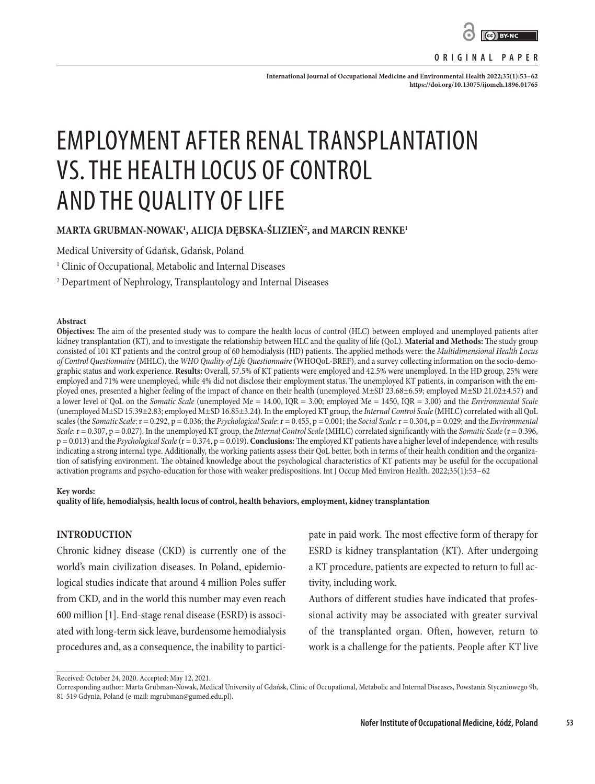

**ORIGINAL PAPER**

**International Journal of Occupational Medicine and Environmental Health 2022;35(1):53–62 <https://doi.org/10.13075/ijomeh.1896.01765>**

# EMPLOYMENT AFTER RENAL TRANSPLANTATION VS. THE HEALTH LOCUS OF CONTROL AND THE QUALITY OF LIFE

# **MARTA GRUBMAN-NOWAK1 , ALICJA DĘBSKA-ŚLIZIEŃ2 , and MARCIN RENKE1**

Medical University of Gdańsk, Gdańsk, Poland

1 Clinic of Occupational, Metabolic and Internal Diseases

2 Department of Nephrology, Transplantology and Internal Diseases

#### **Abstract**

**Objectives:** The aim of the presented study was to compare the health locus of control (HLC) between employed and unemployed patients after kidney transplantation (KT), and to investigate the relationship between HLC and the quality of life (QoL). **Material and Methods:** The study group consisted of 101 KT patients and the control group of 60 hemodialysis (HD) patients. The applied methods were: the *Multidimensional Health Locus of Control Questionnaire* (MHLC), the *WHO Quality of Life Questionnaire* (WHOQoL-BREF), and a survey collecting information on the socio-demographic status and work experience. **Results:** Overall, 57.5% of KT patients were employed and 42.5% were unemployed. In the HD group, 25% were employed and 71% were unemployed, while 4% did not disclose their employment status. The unemployed KT patients, in comparison with the employed ones, presented a higher feeling of the impact of chance on their health (unemployed M±SD 23.68±6.59; employed M±SD 21.02±4.57) and a lower level of QoL on the *Somatic Scale* (unemployed Me = 14.00, IQR = 3.00; employed Me = 1450, IQR = 3.00) and the *Environmental Scale* (unemployed M±SD 15.39±2.83; employed M±SD 16.85±3.24). In the employed KT group, the *Internal Control Scale* (MHLC) correlated with all QoL scales (the *Somatic Scale*:  $r = 0.292$ ,  $p = 0.036$ ; the *Psychological Scale*:  $r = 0.455$ ,  $p = 0.001$ ; the *Social Scale*:  $r = 0.304$ ,  $p = 0.029$ ; and the *Environmental Scale*: r = 0.307, p = 0.027). In the unemployed KT group, the *Internal Control Scale* (MHLC) correlated significantly with the *Somatic Scale* (r = 0.396, p = 0.013) and the *Psychological Scale* (r = 0.374, p = 0.019). **Conclusions:** The employed KT patients have a higher level of independence, with results indicating a strong internal type. Additionally, the working patients assess their QoL better, both in terms of their health condition and the organization of satisfying environment. The obtained knowledge about the psychological characteristics of KT patients may be useful for the occupational activation programs and psycho-education for those with weaker predispositions. Int J Occup Med Environ Health. 2022;35(1):53–62

#### **Key words:**

**quality of life, hemodialysis, health locus of control, health behaviors, employment, kidney transplantation**

## **INTRODUCTION**

Chronic kidney disease (CKD) is currently one of the world's main civilization diseases. In Poland, epidemiological studies indicate that around 4 million Poles suffer from CKD, and in the world this number may even reach 600 million [1]. End-stage renal disease (ESRD) is associated with long-term sick leave, burdensome hemodialysis procedures and, as a consequence, the inability to participate in paid work. The most effective form of therapy for ESRD is kidney transplantation (KT). After undergoing a KT procedure, patients are expected to return to full activity, including work.

Authors of different studies have indicated that professional activity may be associated with greater survival of the transplanted organ. Often, however, return to work is a challenge for the patients. People after KT live

Received: October 24, 2020. Accepted: May 12, 2021.

Corresponding author: Marta Grubman-Nowak, Medical University of Gdańsk, Clinic of Occupational, Metabolic and Internal Diseases, Powstania Styczniowego 9b, 81-519 Gdynia, Poland (e-mail: mgrubman@gumed.edu.pl).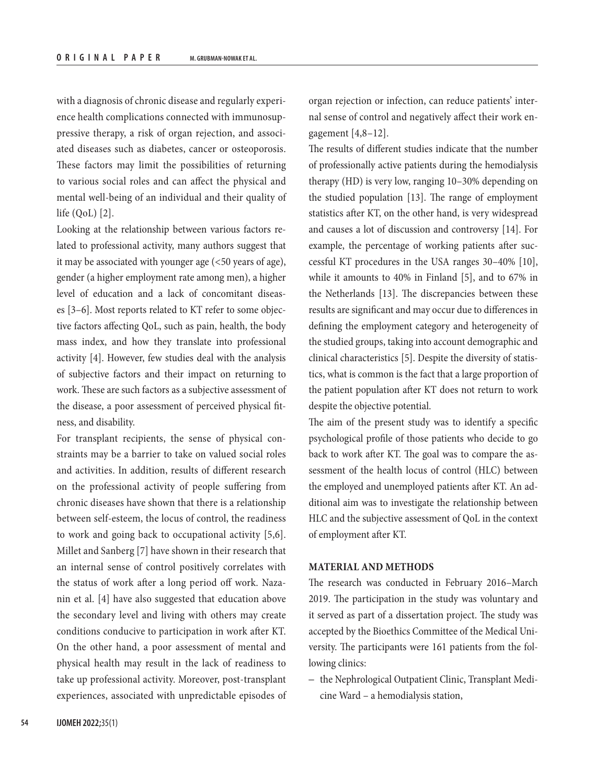with a diagnosis of chronic disease and regularly experience health complications connected with immunosuppressive therapy, a risk of organ rejection, and associated diseases such as diabetes, cancer or osteoporosis. These factors may limit the possibilities of returning to various social roles and can affect the physical and mental well-being of an individual and their quality of life (QoL) [2].

Looking at the relationship between various factors related to professional activity, many authors suggest that it may be associated with younger age (<50 years of age), gender (a higher employment rate among men), a higher level of education and a lack of concomitant diseases [3–6]. Most reports related to KT refer to some objective factors affecting QoL, such as pain, health, the body mass index, and how they translate into professional activity [4]. However, few studies deal with the analysis of subjective factors and their impact on returning to work. These are such factors as a subjective assessment of the disease, a poor assessment of perceived physical fitness, and disability.

For transplant recipients, the sense of physical constraints may be a barrier to take on valued social roles and activities. In addition, results of different research on the professional activity of people suffering from chronic diseases have shown that there is a relationship between self-esteem, the locus of control, the readiness to work and going back to occupational activity [5,6]. Millet and Sanberg [7] have shown in their research that an internal sense of control positively correlates with the status of work after a long period off work. Nazanin et al. [4] have also suggested that education above the secondary level and living with others may create conditions conducive to participation in work after KT. On the other hand, a poor assessment of mental and physical health may result in the lack of readiness to take up professional activity. Moreover, post-transplant experiences, associated with unpredictable episodes of organ rejection or infection, can reduce patients' internal sense of control and negatively affect their work engagement [4,8–12].

The results of different studies indicate that the number of professionally active patients during the hemodialysis therapy (HD) is very low, ranging 10–30% depending on the studied population [13]. The range of employment statistics after KT, on the other hand, is very widespread and causes a lot of discussion and controversy [14]. For example, the percentage of working patients after successful KT procedures in the USA ranges 30–40% [10], while it amounts to 40% in Finland [5], and to 67% in the Netherlands [13]. The discrepancies between these results are significant and may occur due to differences in defining the employment category and heterogeneity of the studied groups, taking into account demographic and clinical characteristics [5]. Despite the diversity of statistics, what is common is the fact that a large proportion of the patient population after KT does not return to work despite the objective potential.

The aim of the present study was to identify a specific psychological profile of those patients who decide to go back to work after KT. The goal was to compare the assessment of the health locus of control (HLC) between the employed and unemployed patients after KT. An additional aim was to investigate the relationship between HLC and the subjective assessment of QoL in the context of employment after KT.

#### **MATERIAL AND METHODS**

The research was conducted in February 2016–March 2019. The participation in the study was voluntary and it served as part of a dissertation project. The study was accepted by the Bioethics Committee of the Medical University. The participants were 161 patients from the following clinics:

– the Nephrological Outpatient Clinic, Transplant Medicine Ward – a hemodialysis station,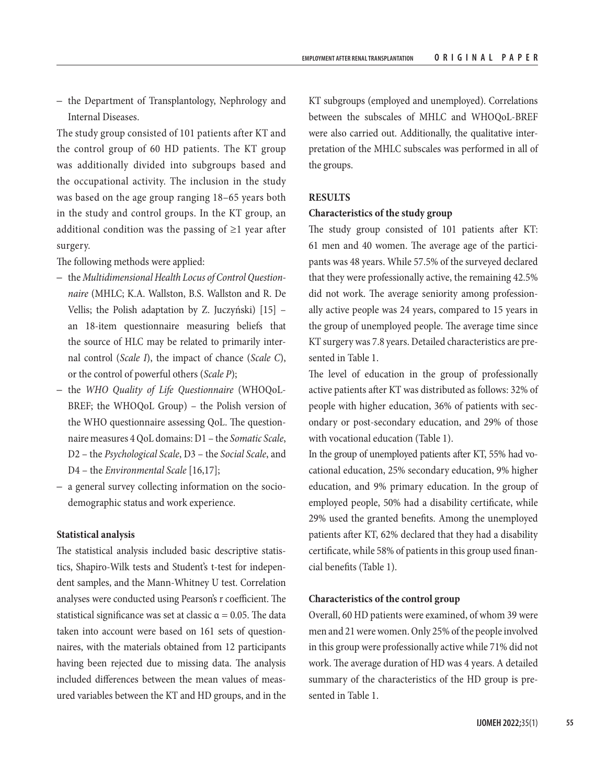– the Department of Transplantology, Nephrology and Internal Diseases.

The study group consisted of 101 patients after KT and the control group of 60 HD patients. The KT group was additionally divided into subgroups based and the occupational activity. The inclusion in the study was based on the age group ranging 18–65 years both in the study and control groups. In the KT group, an additional condition was the passing of  $\geq 1$  year after surgery.

The following methods were applied:

- the *Multidimensional Health Locus of Control Questionnaire* (MHLC; K.A. Wallston, B.S. Wallston and R. De Vellis; the Polish adaptation by Z. Juczyński) [15] – an 18-item questionnaire measuring beliefs that the source of HLC may be related to primarily internal control (*Scale I*), the impact of chance (*Scale C*), or the control of powerful others (*Scale P*);
- the *WHO Quality of Life Questionnaire* (WHOQoL-BREF; the WHOQoL Group) - the Polish version of the WHO questionnaire assessing QoL. The questionnaire measures 4 QoL domains: D1 – the *Somatic Scale*, D2 – the *Psychological Scale*, D3 – the *Social Scale*, and D4 – the *Environmental Scale* [16,17];
- a general survey collecting information on the sociodemographic status and work experience.

## **Statistical analysis**

The statistical analysis included basic descriptive statistics, Shapiro-Wilk tests and Student's t-test for independent samples, and the Mann-Whitney U test. Correlation analyses were conducted using Pearson's r coefficient. The statistical significance was set at classic  $\alpha = 0.05$ . The data taken into account were based on 161 sets of questionnaires, with the materials obtained from 12 participants having been rejected due to missing data. The analysis included differences between the mean values of measured variables between the KT and HD groups, and in the

KT subgroups (employed and unemployed). Correlations between the subscales of MHLC and WHOQoL-BREF were also carried out. Additionally, the qualitative interpretation of the MHLC subscales was performed in all of the groups.

## **RESULTS**

#### **Characteristics of the study group**

The study group consisted of 101 patients after KT: 61 men and 40 women. The average age of the participants was 48 years. While 57.5% of the surveyed declared that they were professionally active, the remaining 42.5% did not work. The average seniority among professionally active people was 24 years, compared to 15 years in the group of unemployed people. The average time since KT surgery was 7.8 years. Detailed characteristics are presented in Table 1.

The level of education in the group of professionally active patients after KT was distributed as follows: 32% of people with higher education, 36% of patients with secondary or post-secondary education, and 29% of those with vocational education (Table 1).

In the group of unemployed patients after KT, 55% had vocational education, 25% secondary education, 9% higher education, and 9% primary education. In the group of employed people, 50% had a disability certificate, while 29% used the granted benefits. Among the unemployed patients after KT, 62% declared that they had a disability certificate, while 58% of patients in this group used financial benefits (Table 1).

## **Characteristics of the control group**

Overall, 60 HD patients were examined, of whom 39 were men and 21 were women. Only 25% of the people involved in this group were professionally active while 71% did not work. The average duration of HD was 4 years. A detailed summary of the characteristics of the HD group is presented in Table 1.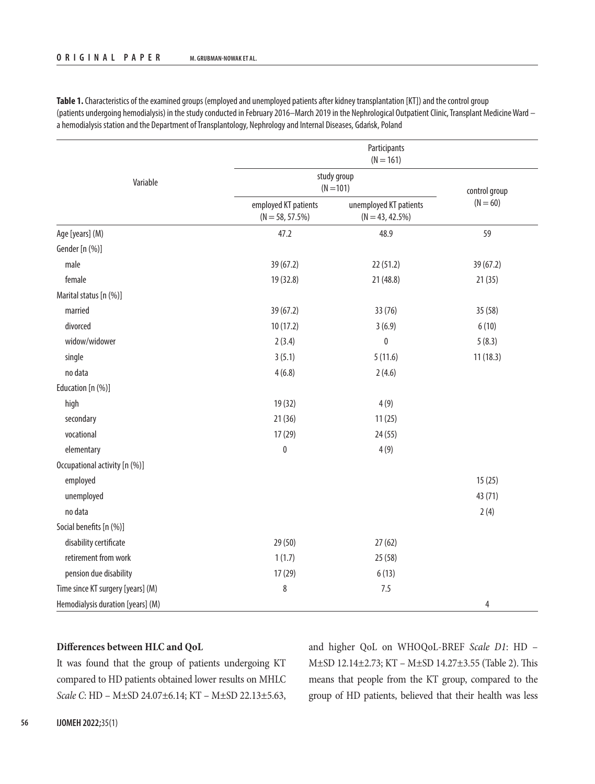|                                   |                                            | Participants<br>$(N = 161)$                  |                |  |  |  |
|-----------------------------------|--------------------------------------------|----------------------------------------------|----------------|--|--|--|
| Variable                          |                                            | study group<br>$(N = 101)$                   |                |  |  |  |
|                                   | employed KT patients<br>$(N = 58, 57.5\%)$ | unemployed KT patients<br>$(N = 43, 42.5\%)$ | $(N = 60)$     |  |  |  |
| Age [years] (M)                   | 47.2                                       | 48.9                                         | 59             |  |  |  |
| Gender [n (%)]                    |                                            |                                              |                |  |  |  |
| male                              | 39 (67.2)                                  | 22(51.2)                                     | 39 (67.2)      |  |  |  |
| female                            | 19 (32.8)                                  | 21 (48.8)                                    | 21(35)         |  |  |  |
| Marital status [n (%)]            |                                            |                                              |                |  |  |  |
| married                           | 39 (67.2)                                  | 33 (76)                                      | 35 (58)        |  |  |  |
| divorced                          | 10(17.2)                                   | 3(6.9)                                       | 6(10)          |  |  |  |
| widow/widower                     | 2(3.4)                                     | $\pmb{0}$                                    | 5(8.3)         |  |  |  |
| single                            | 3(5.1)                                     | 5(11.6)                                      | 11(18.3)       |  |  |  |
| no data                           | 4(6.8)                                     | 2(4.6)                                       |                |  |  |  |
| Education [n (%)]                 |                                            |                                              |                |  |  |  |
| high                              | 19 (32)                                    | 4(9)                                         |                |  |  |  |
| secondary                         | 21(36)                                     | 11(25)                                       |                |  |  |  |
| vocational                        | 17(29)                                     | 24(55)                                       |                |  |  |  |
| elementary                        | $\pmb{0}$                                  | 4(9)                                         |                |  |  |  |
| Occupational activity [n (%)]     |                                            |                                              |                |  |  |  |
| employed                          |                                            |                                              | 15(25)         |  |  |  |
| unemployed                        |                                            |                                              | 43 (71)        |  |  |  |
| no data                           |                                            |                                              | 2(4)           |  |  |  |
| Social benefits [n (%)]           |                                            |                                              |                |  |  |  |
| disability certificate            | 29(50)                                     | 27(62)                                       |                |  |  |  |
| retirement from work              | 1(1.7)                                     | 25(58)                                       |                |  |  |  |
| pension due disability            | 17(29)                                     | 6(13)                                        |                |  |  |  |
| Time since KT surgery [years] (M) | $\,8\,$                                    | 7.5                                          |                |  |  |  |
| Hemodialysis duration [years] (M) |                                            |                                              | $\overline{4}$ |  |  |  |

**Table 1.** Characteristics of the examined groups (employed and unemployed patients after kidney transplantation [KT]) and the control group (patients undergoing hemodialysis) in the study conducted in February 2016–March 2019 in the Nephrological Outpatient Clinic, Transplant Medicine Ward – a hemodialysis station and the Department of Transplantology, Nephrology and Internal Diseases, Gdańsk, Poland

## **Differences between HLC and QoL**

It was found that the group of patients undergoing KT compared to HD patients obtained lower results on MHLC *Scale C*: HD – M±SD 24.07±6.14; KT – M±SD 22.13±5.63, and higher QoL on WHOQoL-BREF *Scale D1*: HD – M±SD 12.14±2.73; KT – M±SD 14.27±3.55 (Table 2). This means that people from the KT group, compared to the group of HD patients, believed that their health was less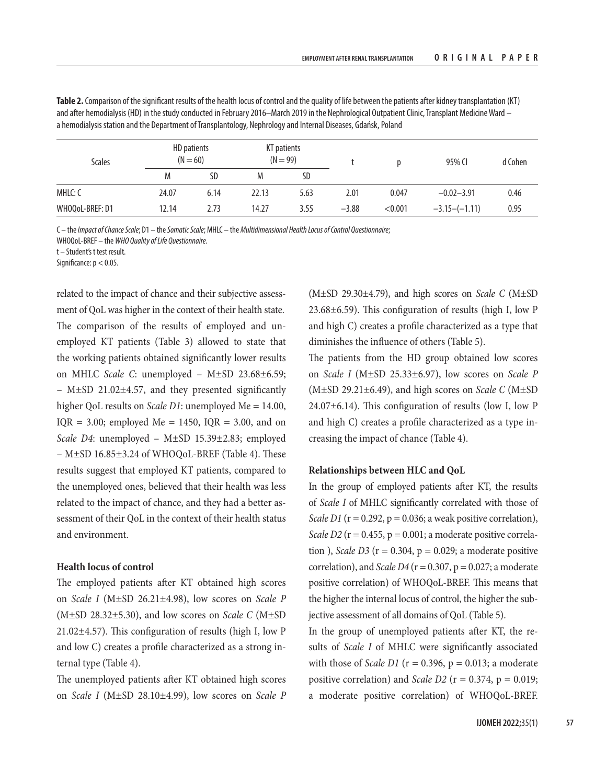| $UD$ pationts<br><b>VT</b> pationts                                                                                                               |  |
|---------------------------------------------------------------------------------------------------------------------------------------------------|--|
| a hemodialysis station and the Department of Transplantology, Nephrology and Internal Diseases, Gdańsk, Poland                                    |  |
| and after hemodialysis (HD) in the study conducted in February 2016—March 2019 in the Nephrological Outpatient Clinic, Transplant Medicine Ward — |  |

**Table 2.** Comparison of the significant results of the health locus of control and the quality of life between the patients after kidney transplantation (KT)

| <b>Scales</b>   | HD patients<br>$(N = 60)$ |      |       | KT patients<br>$(N = 99)$ |         |         | 95% CI          | d Cohen |
|-----------------|---------------------------|------|-------|---------------------------|---------|---------|-----------------|---------|
|                 | Μ                         | SD   | M     | SD                        |         |         |                 |         |
| MHLC: C         | 24.07                     | 6.14 | 22.13 | 5.63                      | 2.01    | 0.047   | $-0.02 - 3.91$  | 0.46    |
| WHOQoL-BREF: D1 | 12.14                     | 2.73 | 14.27 | 3.55                      | $-3.88$ | < 0.001 | $-3.15-(-1.11)$ | 0.95    |

C – the *Impact of Chance Scale*; D1 – the *Somatic Scale*; MHLC – the *Multidimensional Health Locus of Control Questionnaire*;

WHOQoL-BREF – the *WHO Quality of Life Questionnaire*.

t – Student's t test result.

Significance:  $p < 0.05$ .

related to the impact of chance and their subjective assessment of QoL was higher in the context of their health state. The comparison of the results of employed and unemployed KT patients (Table 3) allowed to state that the working patients obtained significantly lower results on MHLC *Scale C*: unemployed – M±SD 23.68±6.59; – M±SD 21.02±4.57, and they presented significantly higher QoL results on *Scale D1*: unemployed Me = 14.00, IQR =  $3.00$ ; employed Me = 1450, IQR =  $3.00$ , and on *Scale D4*: unemployed – M±SD 15.39±2.83; employed – M±SD 16.85±3.24 of WHOQoL-BREF (Table 4). These results suggest that employed KT patients, compared to the unemployed ones, believed that their health was less related to the impact of chance, and they had a better assessment of their QoL in the context of their health status and environment.

### **Health locus of control**

The employed patients after KT obtained high scores on *Scale I*  (M±SD 26.21±4.98), low scores on *Scale P* (M±SD 28.32±5.30), and low scores on *Scale C* (M±SD 21.02±4.57). This configuration of results (high I, low P and low C) creates a profile characterized as a strong internal type (Table 4).

The unemployed patients after KT obtained high scores on *Scale I*  (M±SD 28.10±4.99), low scores on *Scale P*

(M±SD 29.30±4.79), and high scores on *Scale C* (M±SD 23.68±6.59). This configuration of results (high I, low P and high C) creates a profile characterized as a type that diminishes the influence of others (Table 5).

The patients from the HD group obtained low scores on *Scale I*  (M±SD 25.33±6.97), low scores on *Scale P* (M±SD 29.21±6.49), and high scores on *Scale C* (M±SD  $24.07\pm6.14$ ). This configuration of results (low I, low P and high C) creates a profile characterized as a type increasing the impact of chance (Table 4).

## **Relationships between HLC and QoL**

In the group of employed patients after KT, the results of *Scale I* of MHLC significantly correlated with those of *Scale D1* ( $r = 0.292$ ,  $p = 0.036$ ; a weak positive correlation), *Scale D2* ( $r = 0.455$ ,  $p = 0.001$ ; a moderate positive correlation ), *Scale D3* ( $r = 0.304$ ,  $p = 0.029$ ; a moderate positive correlation), and *Scale D4* ( $r = 0.307$ ,  $p = 0.027$ ; a moderate positive correlation) of WHOQoL-BREF. This means that the higher the internal locus of control, the higher the subjective assessment of all domains of QoL (Table 5).

In the group of unemployed patients after KT, the results of *Scale I*  of MHLC were significantly associated with those of *Scale D1* ( $r = 0.396$ ,  $p = 0.013$ ; a moderate positive correlation) and *Scale D2* ( $r = 0.374$ ,  $p = 0.019$ ; a moderate positive correlation) of WHOQoL-BREF.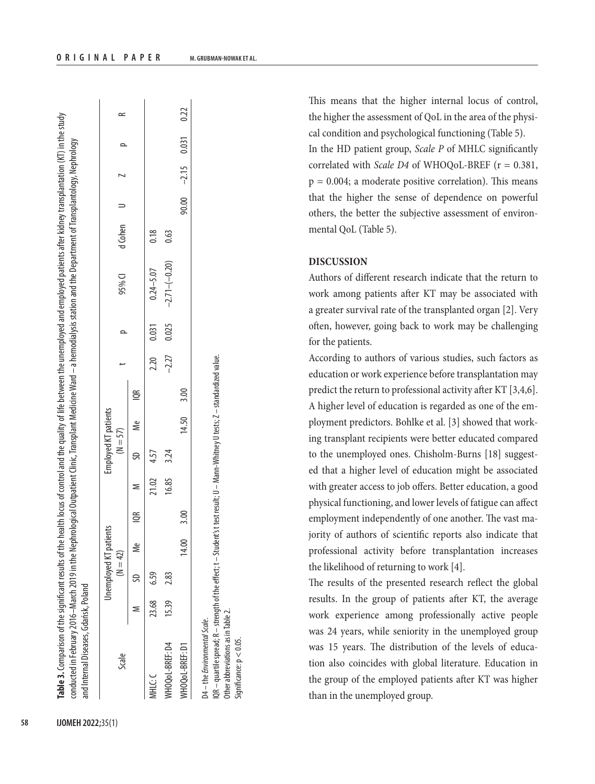| Table 3. Comparison of the significant results of the health locus of control and the quality of life between the unemployed and employed patients after kidney transplantation (KT) in the study<br>conducted in February 2016–March 2019 in the Nephrological Outpatient Clinic, Transplant Medicine Ward – a hemodialysis station and the Department of Transplantology, Nephrology<br>and Internal Diseases, Gdańsk, Poland |   |                        |            |  |            |                      |  |                        |         |  |  |
|---------------------------------------------------------------------------------------------------------------------------------------------------------------------------------------------------------------------------------------------------------------------------------------------------------------------------------------------------------------------------------------------------------------------------------|---|------------------------|------------|--|------------|----------------------|--|------------------------|---------|--|--|
| Scale                                                                                                                                                                                                                                                                                                                                                                                                                           |   | Unemployed KT patients | $(N = 42)$ |  | $(N = 57)$ | Employed KT patients |  | 95% CI                 | d Cohen |  |  |
|                                                                                                                                                                                                                                                                                                                                                                                                                                 | z | SD Me                  |            |  |            | IOR Me Me IOR        |  |                        |         |  |  |
| ここま                                                                                                                                                                                                                                                                                                                                                                                                                             |   | 23.68 6.59             |            |  | 21.02 4.57 |                      |  | $2.20$ 0.031 0.24-5.07 | 0.18    |  |  |

WHOQoL-BREF: D1 14.00 3.00 14.50 3.00 90.00 –2.15 0.031 0.22 QR – quartile spread; R – strength of the effect; t – Student's t test result; U – Mann-Whitney U tests; Z – standardized value. IQR – quartile spread; R – strength of the effect; t – Student's t test result; U – Mann-Whitney U tests; Z – standardized value. 3.00 50 ₹ 3.00 14.00 04 - the Environmental Scale. D4 – the *Environmental Scale*. NHOQ oL-BREF: D1

MHLC:  $\alpha = \frac{23.68}{0.59}$   $\alpha = \frac{23.68}{0.7}$   $\alpha = \frac{23.68}{0.7}$   $\alpha = \frac{23.68}{0.7}$   $\alpha = \frac{23.68}{0.7}$   $\alpha = \frac{23.68}{0.7}$ WHOQol-BREF: D4 15.39 2.83 16.85 3.24 –2.27 –2.27 0.025 –2.71–(–0.20) 0.63

 $3.24$ 

16.85

2.83

15.39

VHOQ oL-BREF: D4

Other abbreviations as in Table 2. Other abbreviations as in Table 2. Significance: p < 0.05. $\frac{1}{2}$ ignificance:  $p < 0.05$ .

This means that the higher internal locus of control, the higher the assessment of QoL in the area of the physical condition and psychological functioning (Table 5). In the HD patient group, *Scale P* of MHLC significantly correlated with *Scale D4* of WHOQoL-BREF (r = 0.381,  $p = 0.004$ ; a moderate positive correlation). This means that the higher the sense of dependence on powerful others, the better the subjective assessment of environmental QoL (Table 5).

# **DISCUSSION**

Authors of different research indicate that the return to work among patients after KT may be associated with a greater survival rate of the transplanted organ [2]. Very often, however, going back to work may be challenging for the patients.

According to authors of various studies, such factors as education or work experience before transplantation may predict the return to professional activity after KT [3,4,6]. A higher level of education is regarded as one of the employment predictors. Bohlke et al. [3] showed that working transplant recipients were better educated compared to the unemployed ones. Chisholm-Burns [18] suggested that a higher level of education might be associated with greater access to job offers. Better education, a good physical functioning, and lower levels of fatigue can affect employment independently of one another. The vast majority of authors of scientific reports also indicate that professional activity before transplantation increases the likelihood of returning to work [4].

The results of the presented research reflect the global results. In the group of patients after KT, the average work experience among professionally active people was 24 years, while seniority in the unemployed group was 15 years. The distribution of the levels of education also coincides with global literature. Education in the group of the employed patients after KT was higher than in the unemployed group.

 $\ddot{\phantom{a}}$ 

 $\frac{1}{2}$ 

 $\ddot{\phantom{a}}$ 

 $\frac{1}{2}$ 

Ĵ

 $\frac{1}{2}$ 

t

 $0.22$ 

 $0.031$ 

 $-2.15$ 

8 SO.

0.63

 $-2.71 - (-0.20)$ 

0.025

 $-2.27$ 

**Table 3.** 

þ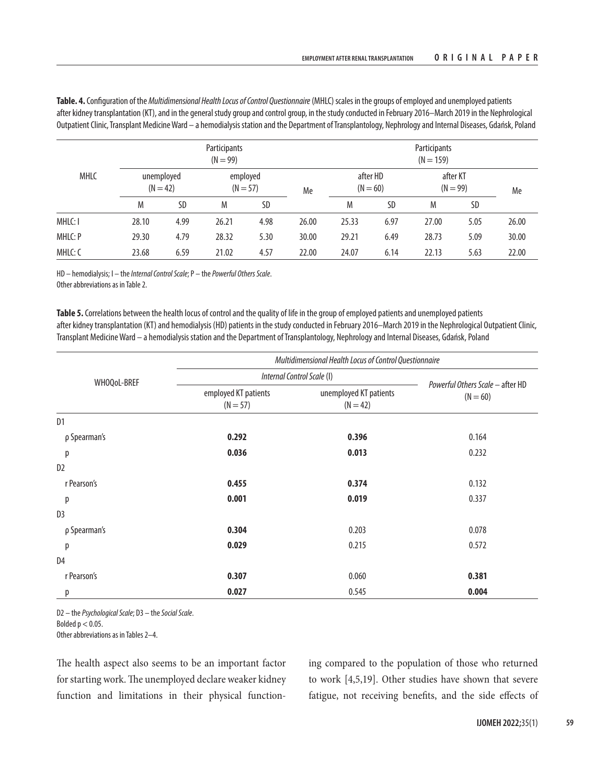**Table. 4.** Configuration of the *Multidimensional Health Locus of Control Questionnaire* (MHLC) scales in the groups of employed and unemployed patients after kidney transplantation (KT), and in the general study group and control group, in the study conducted in February 2016–March 2019 in the Nephrological Outpatient Clinic, Transplant Medicine Ward – a hemodialysis station and the Department of Transplantology, Nephrology and Internal Diseases, Gdańsk, Poland

|             |                          |      | Participants<br>$(N = 99)$ |      |       | Participants<br>$(N = 159)$ |                        |                        |      |       |
|-------------|--------------------------|------|----------------------------|------|-------|-----------------------------|------------------------|------------------------|------|-------|
| <b>MHLC</b> | unemployed<br>$(N = 42)$ |      | employed<br>$(N = 57)$     |      | Me    |                             | after HD<br>$(N = 60)$ | after KT<br>$(N = 99)$ |      | Me    |
|             | M                        | SD   | M                          | SD   |       | M                           | SD                     | M                      | SD   |       |
| MHLC: I     | 28.10                    | 4.99 | 26.21                      | 4.98 | 26.00 | 25.33                       | 6.97                   | 27.00                  | 5.05 | 26.00 |
| MHLC: P     | 29.30                    | 4.79 | 28.32                      | 5.30 | 30.00 | 29.21                       | 6.49                   | 28.73                  | 5.09 | 30.00 |
| MHLC: C     | 23.68                    | 6.59 | 21.02                      | 4.57 | 22.00 | 24.07                       | 6.14                   | 22.13                  | 5.63 | 22.00 |

HD – hemodialysis; I – the *Internal Control Scale*; P – the *Powerful Others Scale*. Other abbreviations as in Table 2.

**Table 5.** Correlations between the health locus of control and the quality of life in the group of employed patients and unemployed patients after kidney transplantation (KT) and hemodialysis (HD) patients in the study conducted in February 2016–March 2019 in the Nephrological Outpatient Clinic, Transplant Medicine Ward – a hemodialysis station and the Department of Transplantology, Nephrology and Internal Diseases, Gdańsk, Poland

|                |                                    | Multidimensional Health Locus of Control Questionnaire |                                                |  |  |  |  |  |
|----------------|------------------------------------|--------------------------------------------------------|------------------------------------------------|--|--|--|--|--|
| WHOQoL-BREF    |                                    | Internal Control Scale (I)                             |                                                |  |  |  |  |  |
|                | employed KT patients<br>$(N = 57)$ | unemployed KT patients<br>$(N = 42)$                   | Powerful Others Scale - after HD<br>$(N = 60)$ |  |  |  |  |  |
| D <sub>1</sub> |                                    |                                                        |                                                |  |  |  |  |  |
| p Spearman's   | 0.292                              | 0.396                                                  | 0.164                                          |  |  |  |  |  |
| р              | 0.036                              | 0.013                                                  | 0.232                                          |  |  |  |  |  |
| D <sub>2</sub> |                                    |                                                        |                                                |  |  |  |  |  |
| r Pearson's    | 0.455                              | 0.374                                                  | 0.132                                          |  |  |  |  |  |
| р              | 0.001                              | 0.019                                                  | 0.337                                          |  |  |  |  |  |
| D <sub>3</sub> |                                    |                                                        |                                                |  |  |  |  |  |
| p Spearman's   | 0.304                              | 0.203                                                  | 0.078                                          |  |  |  |  |  |
| р              | 0.029                              | 0.215                                                  | 0.572                                          |  |  |  |  |  |
| D4             |                                    |                                                        |                                                |  |  |  |  |  |
| r Pearson's    | 0.307                              | 0.060                                                  | 0.381                                          |  |  |  |  |  |
| р              | 0.027                              | 0.545                                                  | 0.004                                          |  |  |  |  |  |

D2 – the *Psychological Scale*; D3 – the *Social Scale*.

Bolded  $p < 0.05$ .

Other abbreviations as in Tables 2–4.

The health aspect also seems to be an important factor for starting work. The unemployed declare weaker kidney function and limitations in their physical functioning compared to the population of those who returned to work [4,5,19]. Other studies have shown that severe fatigue, not receiving benefits, and the side effects of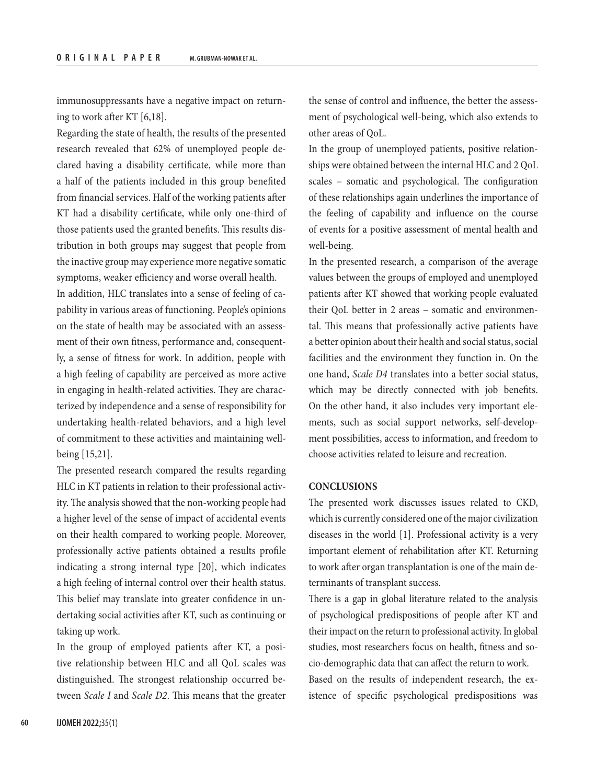immunosuppressants have a negative impact on returning to work after KT [6,18].

Regarding the state of health, the results of the presented research revealed that 62% of unemployed people declared having a disability certificate, while more than a half of the patients included in this group benefited from financial services. Half of the working patients after KT had a disability certificate, while only one-third of those patients used the granted benefits. This results distribution in both groups may suggest that people from the inactive group may experience more negative somatic symptoms, weaker efficiency and worse overall health.

In addition, HLC translates into a sense of feeling of capability in various areas of functioning. People's opinions on the state of health may be associated with an assessment of their own fitness, performance and, consequently, a sense of fitness for work. In addition, people with a high feeling of capability are perceived as more active in engaging in health-related activities. They are characterized by independence and a sense of responsibility for undertaking health-related behaviors, and a high level of commitment to these activities and maintaining wellbeing [15,21].

The presented research compared the results regarding HLC in KT patients in relation to their professional activity. The analysis showed that the non-working people had a higher level of the sense of impact of accidental events on their health compared to working people. Moreover, professionally active patients obtained a results profile indicating a strong internal type [20], which indicates a high feeling of internal control over their health status. This belief may translate into greater confidence in undertaking social activities after KT, such as continuing or taking up work.

In the group of employed patients after KT, a positive relationship between HLC and all QoL scales was distinguished. The strongest relationship occurred between *Scale I* and *Scale D2*. This means that the greater

the sense of control and influence, the better the assessment of psychological well-being, which also extends to other areas of QoL.

In the group of unemployed patients, positive relationships were obtained between the internal HLC and 2 QoL scales – somatic and psychological. The configuration of these relationships again underlines the importance of the feeling of capability and influence on the course of events for a positive assessment of mental health and well-being.

In the presented research, a comparison of the average values between the groups of employed and unemployed patients after KT showed that working people evaluated their QoL better in 2 areas – somatic and environmental. This means that professionally active patients have a better opinion about their health and social status, social facilities and the environment they function in. On the one hand, *Scale D4* translates into a better social status, which may be directly connected with job benefits. On the other hand, it also includes very important elements, such as social support networks, self-development possibilities, access to information, and freedom to choose activities related to leisure and recreation.

## **CONCLUSIONS**

The presented work discusses issues related to CKD, which is currently considered one of the major civilization diseases in the world [1]. Professional activity is a very important element of rehabilitation after KT. Returning to work after organ transplantation is one of the main determinants of transplant success.

There is a gap in global literature related to the analysis of psychological predispositions of people after KT and their impact on the return to professional activity. In global studies, most researchers focus on health, fitness and socio-demographic data that can affect the return to work.

Based on the results of independent research, the existence of specific psychological predispositions was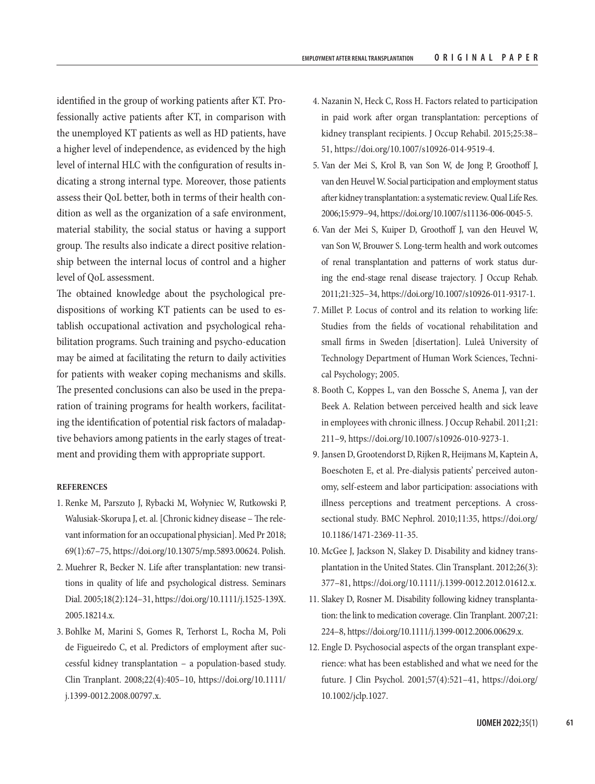identified in the group of working patients after KT. Professionally active patients after KT, in comparison with the unemployed KT patients as well as HD patients, have a higher level of independence, as evidenced by the high level of internal HLC with the configuration of results indicating a strong internal type. Moreover, those patients assess their QoL better, both in terms of their health condition as well as the organization of a safe environment, material stability, the social status or having a support group. The results also indicate a direct positive relationship between the internal locus of control and a higher level of QoL assessment.

The obtained knowledge about the psychological predispositions of working KT patients can be used to establish occupational activation and psychological rehabilitation programs. Such training and psycho-education may be aimed at facilitating the return to daily activities for patients with weaker coping mechanisms and skills. The presented conclusions can also be used in the preparation of training programs for health workers, facilitating the identification of potential risk factors of maladaptive behaviors among patients in the early stages of treatment and providing them with appropriate support.

## **REFERENCES**

- 1. Renke M, Parszuto J, Rybacki M, Wołyniec W, Rutkowski P, Walusiak-Skorupa J, et. al. [Chronic kidney disease – The relevant information for an occupational physician]. Med Pr 2018; 69(1):67–75, [https://doi.org/10.13075/mp.5893.00624.](https://doi.org/10.13075/mp.5893.00624) Polish.
- 2. Muehrer R, Becker N. Life after transplantation: new transitions in quality of life and psychological distress. Seminars Dial. 2005;18(2):124–31, [https://doi.org/10.1111/j.1525-139X.](https://doi.org/10.1111/j.1525-139X.2005.18214.x) [2005.18214.x.](https://doi.org/10.1111/j.1525-139X.2005.18214.x)
- 3. Bohlke M, Marini S, Gomes R, Terhorst L, Rocha M, Poli de Figueiredo C, et al. Predictors of employment after successful kidney transplantation – a population-based study. Clin Tranplant. 2008;22(4):405–10, [https://doi.org/10.1111/](https://doi.org/10.1111/j.1399-0012.2008.00797.x) [j.1399-0012.2008.00797.x](https://doi.org/10.1111/j.1399-0012.2008.00797.x).
- 4. Nazanin N, Heck C, Ross H. Factors related to participation in paid work after organ transplantation: perceptions of kidney transplant recipients. J Occup Rehabil. 2015;25:38– 51, <https://doi.org/10.1007/s10926-014-9519-4>.
- 5. Van der Mei S, Krol B, van Son W, de Jong P, Groothoff J, van den Heuvel W. Social participation and employment status after kidney transplantation: a systematic review. Qual Life Res. 2006;15:979–94,<https://doi.org/10.1007/s11136-006-0045-5>.
- 6. Van der Mei S, Kuiper D, Groothoff J, van den Heuvel W, van Son W, Brouwer S. Long-term health and work outcomes of renal transplantation and patterns of work status during the end-stage renal disease trajectory. J Occup Rehab. 2011;21:325–34, <https://doi.org/10.1007/s10926-011-9317-1>.
- 7. Millet P. Locus of control and its relation to working life: Studies from the fields of vocational rehabilitation and small firms in Sweden [disertation]. Luleå University of Technology Department of Human Work Sciences, Technical Psychology; 2005.
- 8. Booth C, Koppes L, van den Bossche S, Anema J, van der Beek A. Relation between perceived health and sick leave in employees with chronic illness. J Occup Rehabil. 2011;21: 211–9, <https://doi.org/10.1007/s10926-010-9273-1>.
- 9. Jansen D, Grootendorst D, Rijken R, Heijmans M, Kaptein A, Boeschoten E, et al. Pre-dialysis patients' perceived autonomy, self-esteem and labor participation: associations with illness perceptions and treatment perceptions. A crosssectional study. BMC Nephrol. 2010;11:35, [https://doi.org/](https://doi.org/10.1186/1471-2369-11-35) [10.1186/1471-2369-11-35](https://doi.org/10.1186/1471-2369-11-35).
- 10. McGee J, Jackson N, Slakey D. Disability and kidney transplantation in the United States. Clin Transplant. 2012;26(3): 377–81, [https://doi.org/10.1111/j.1399-0012.2012.01612.x.](https://doi.org/10.1111/j.1399-0012.2012.01612.x)
- 11. Slakey D, Rosner M. Disability following kidney transplantation: the link to medication coverage. Clin Tranplant. 2007;21: 224–8, <https://doi.org/10.1111/j.1399-0012.2006.00629.x>.
- 12. Engle D. Psychosocial aspects of the organ transplant experience: what has been established and what we need for the future. J Clin Psychol. 2001;57(4):521–41, [https://doi.org/](https://doi.org/10.1002/jclp.1027) [10.1002/jclp.1027](https://doi.org/10.1002/jclp.1027).